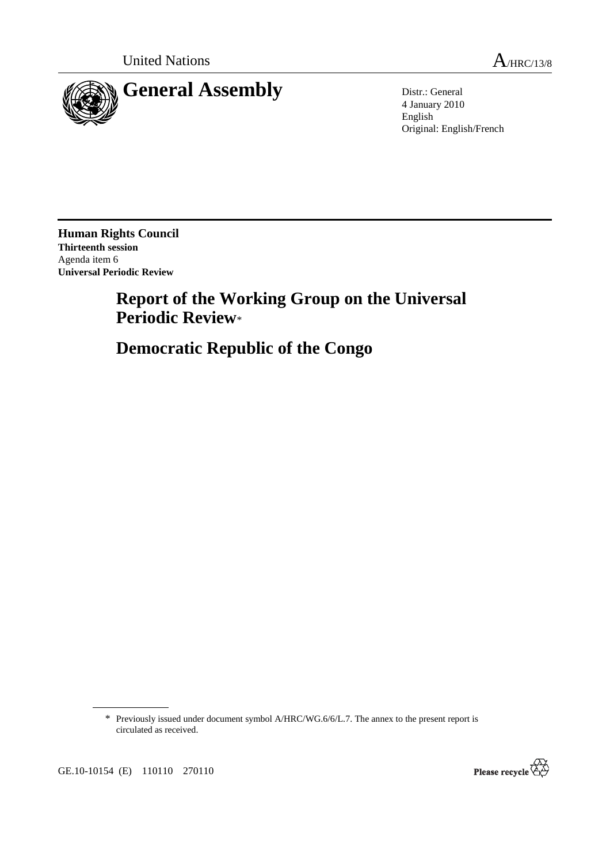

4 January 2010 English Original: English/French

**Human Rights Council Thirteenth session**  Agenda item 6 **Universal Periodic Review** 

# **Report of the Working Group on the Universal Periodic Review**\*

 **Democratic Republic of the Congo** 

<sup>\*</sup> Previously issued under document symbol A/HRC/WG.6/6/L.7. The annex to the present report is circulated as received.



GE.10-10154 (E) 110110 270110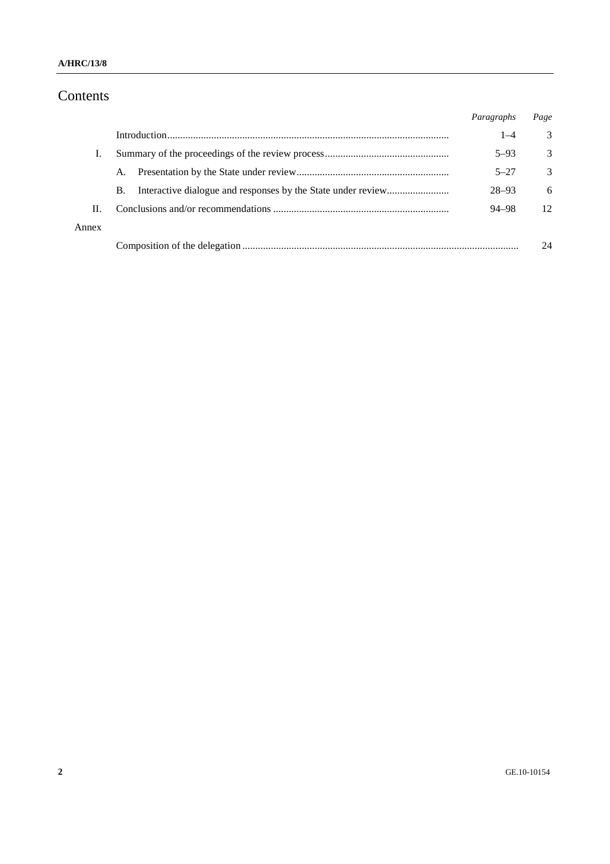# Contents

|       |    | Paragraphs | Page          |
|-------|----|------------|---------------|
|       |    | $1 - 4$    | 3             |
| L.    |    | $5 - 93$   | 3             |
|       | A. | $5 - 27$   | $\mathcal{E}$ |
|       | В. | $28 - 93$  | 6             |
| H.    |    | 94–98      | 12            |
| Annex |    |            |               |
|       |    |            | 24            |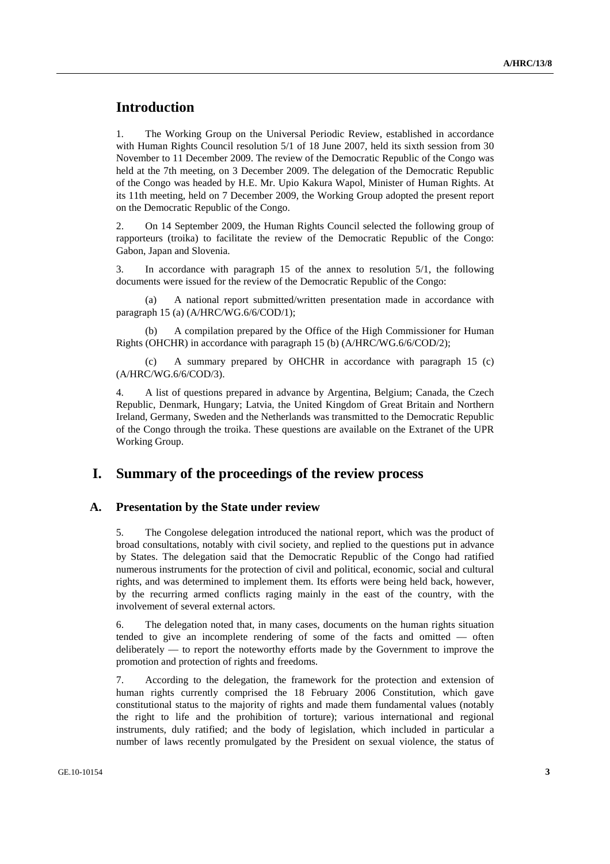## **Introduction**

1. The Working Group on the Universal Periodic Review, established in accordance with Human Rights Council resolution 5/1 of 18 June 2007, held its sixth session from 30 November to 11 December 2009. The review of the Democratic Republic of the Congo was held at the 7th meeting, on 3 December 2009. The delegation of the Democratic Republic of the Congo was headed by H.E. Mr. Upio Kakura Wapol, Minister of Human Rights. At its 11th meeting, held on 7 December 2009, the Working Group adopted the present report on the Democratic Republic of the Congo.

2. On 14 September 2009, the Human Rights Council selected the following group of rapporteurs (troika) to facilitate the review of the Democratic Republic of the Congo: Gabon, Japan and Slovenia.

3. In accordance with paragraph 15 of the annex to resolution 5/1, the following documents were issued for the review of the Democratic Republic of the Congo:

 (a) A national report submitted/written presentation made in accordance with paragraph 15 (a) (A/HRC/WG.6/6/COD/1);

 (b) A compilation prepared by the Office of the High Commissioner for Human Rights (OHCHR) in accordance with paragraph 15 (b) (A/HRC/WG.6/6/COD/2);

 (c) A summary prepared by OHCHR in accordance with paragraph 15 (c) (A/HRC/WG.6/6/COD/3).

4. A list of questions prepared in advance by Argentina, Belgium; Canada, the Czech Republic, Denmark, Hungary; Latvia, the United Kingdom of Great Britain and Northern Ireland, Germany, Sweden and the Netherlands was transmitted to the Democratic Republic of the Congo through the troika. These questions are available on the Extranet of the UPR Working Group.

### **I. Summary of the proceedings of the review process**

#### **A. Presentation by the State under review**

5. The Congolese delegation introduced the national report, which was the product of broad consultations, notably with civil society, and replied to the questions put in advance by States. The delegation said that the Democratic Republic of the Congo had ratified numerous instruments for the protection of civil and political, economic, social and cultural rights, and was determined to implement them. Its efforts were being held back, however, by the recurring armed conflicts raging mainly in the east of the country, with the involvement of several external actors.

6. The delegation noted that, in many cases, documents on the human rights situation tended to give an incomplete rendering of some of the facts and omitted — often deliberately — to report the noteworthy efforts made by the Government to improve the promotion and protection of rights and freedoms.

7. According to the delegation, the framework for the protection and extension of human rights currently comprised the 18 February 2006 Constitution, which gave constitutional status to the majority of rights and made them fundamental values (notably the right to life and the prohibition of torture); various international and regional instruments, duly ratified; and the body of legislation, which included in particular a number of laws recently promulgated by the President on sexual violence, the status of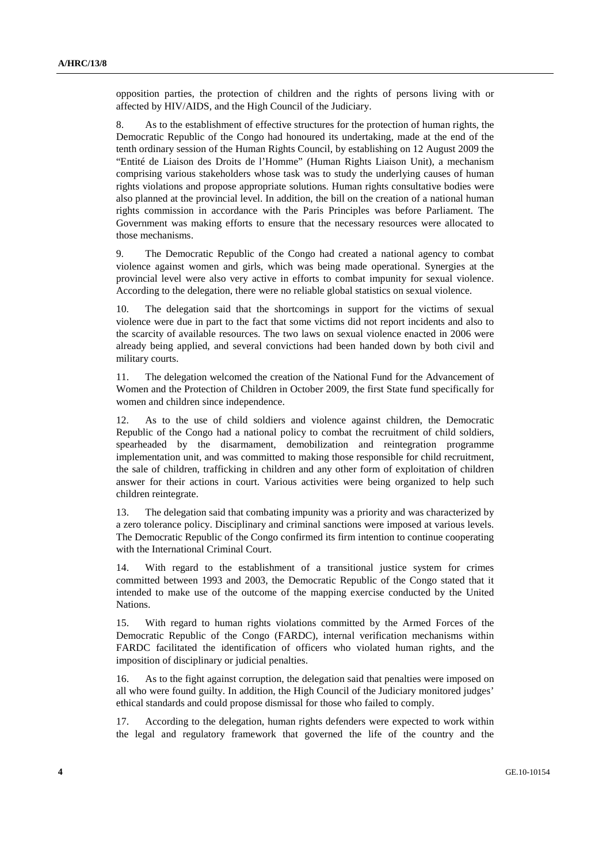opposition parties, the protection of children and the rights of persons living with or affected by HIV/AIDS, and the High Council of the Judiciary.

8. As to the establishment of effective structures for the protection of human rights, the Democratic Republic of the Congo had honoured its undertaking, made at the end of the tenth ordinary session of the Human Rights Council, by establishing on 12 August 2009 the "Entité de Liaison des Droits de l'Homme" (Human Rights Liaison Unit), a mechanism comprising various stakeholders whose task was to study the underlying causes of human rights violations and propose appropriate solutions. Human rights consultative bodies were also planned at the provincial level. In addition, the bill on the creation of a national human rights commission in accordance with the Paris Principles was before Parliament. The Government was making efforts to ensure that the necessary resources were allocated to those mechanisms.

9. The Democratic Republic of the Congo had created a national agency to combat violence against women and girls, which was being made operational. Synergies at the provincial level were also very active in efforts to combat impunity for sexual violence. According to the delegation, there were no reliable global statistics on sexual violence.

10. The delegation said that the shortcomings in support for the victims of sexual violence were due in part to the fact that some victims did not report incidents and also to the scarcity of available resources. The two laws on sexual violence enacted in 2006 were already being applied, and several convictions had been handed down by both civil and military courts.

11. The delegation welcomed the creation of the National Fund for the Advancement of Women and the Protection of Children in October 2009, the first State fund specifically for women and children since independence.

12. As to the use of child soldiers and violence against children, the Democratic Republic of the Congo had a national policy to combat the recruitment of child soldiers, spearheaded by the disarmament, demobilization and reintegration programme implementation unit, and was committed to making those responsible for child recruitment, the sale of children, trafficking in children and any other form of exploitation of children answer for their actions in court. Various activities were being organized to help such children reintegrate.

13. The delegation said that combating impunity was a priority and was characterized by a zero tolerance policy. Disciplinary and criminal sanctions were imposed at various levels. The Democratic Republic of the Congo confirmed its firm intention to continue cooperating with the International Criminal Court.

14. With regard to the establishment of a transitional justice system for crimes committed between 1993 and 2003, the Democratic Republic of the Congo stated that it intended to make use of the outcome of the mapping exercise conducted by the United Nations.

15. With regard to human rights violations committed by the Armed Forces of the Democratic Republic of the Congo (FARDC), internal verification mechanisms within FARDC facilitated the identification of officers who violated human rights, and the imposition of disciplinary or judicial penalties.

16. As to the fight against corruption, the delegation said that penalties were imposed on all who were found guilty. In addition, the High Council of the Judiciary monitored judges' ethical standards and could propose dismissal for those who failed to comply.

17. According to the delegation, human rights defenders were expected to work within the legal and regulatory framework that governed the life of the country and the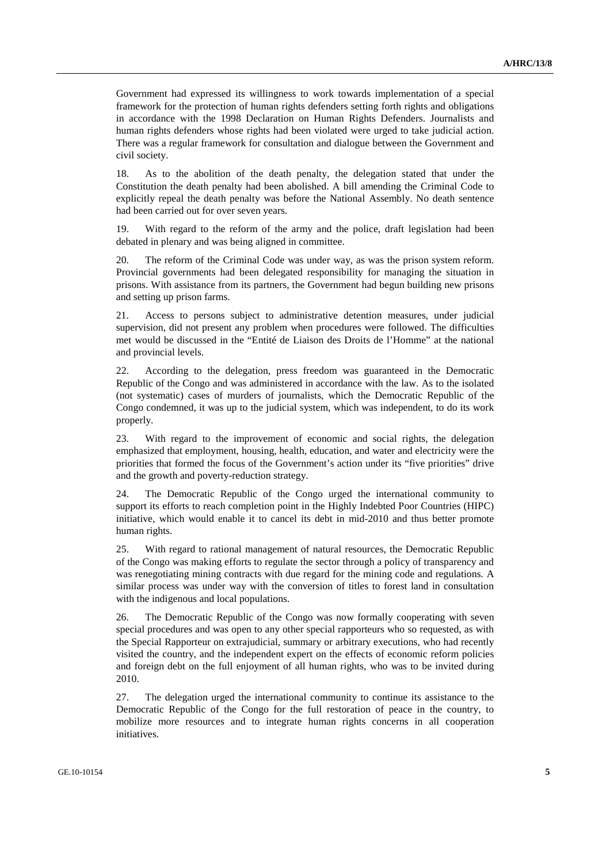Government had expressed its willingness to work towards implementation of a special framework for the protection of human rights defenders setting forth rights and obligations in accordance with the 1998 Declaration on Human Rights Defenders. Journalists and human rights defenders whose rights had been violated were urged to take judicial action. There was a regular framework for consultation and dialogue between the Government and civil society.

18. As to the abolition of the death penalty, the delegation stated that under the Constitution the death penalty had been abolished. A bill amending the Criminal Code to explicitly repeal the death penalty was before the National Assembly. No death sentence had been carried out for over seven years.

19. With regard to the reform of the army and the police, draft legislation had been debated in plenary and was being aligned in committee.

20. The reform of the Criminal Code was under way, as was the prison system reform. Provincial governments had been delegated responsibility for managing the situation in prisons. With assistance from its partners, the Government had begun building new prisons and setting up prison farms.

21. Access to persons subject to administrative detention measures, under judicial supervision, did not present any problem when procedures were followed. The difficulties met would be discussed in the "Entité de Liaison des Droits de l'Homme" at the national and provincial levels.

22. According to the delegation, press freedom was guaranteed in the Democratic Republic of the Congo and was administered in accordance with the law. As to the isolated (not systematic) cases of murders of journalists, which the Democratic Republic of the Congo condemned, it was up to the judicial system, which was independent, to do its work properly.

23. With regard to the improvement of economic and social rights, the delegation emphasized that employment, housing, health, education, and water and electricity were the priorities that formed the focus of the Government's action under its "five priorities" drive and the growth and poverty-reduction strategy.

24. The Democratic Republic of the Congo urged the international community to support its efforts to reach completion point in the Highly Indebted Poor Countries (HIPC) initiative, which would enable it to cancel its debt in mid-2010 and thus better promote human rights.

25. With regard to rational management of natural resources, the Democratic Republic of the Congo was making efforts to regulate the sector through a policy of transparency and was renegotiating mining contracts with due regard for the mining code and regulations. A similar process was under way with the conversion of titles to forest land in consultation with the indigenous and local populations.

26. The Democratic Republic of the Congo was now formally cooperating with seven special procedures and was open to any other special rapporteurs who so requested, as with the Special Rapporteur on extrajudicial, summary or arbitrary executions, who had recently visited the country, and the independent expert on the effects of economic reform policies and foreign debt on the full enjoyment of all human rights, who was to be invited during 2010.

27. The delegation urged the international community to continue its assistance to the Democratic Republic of the Congo for the full restoration of peace in the country, to mobilize more resources and to integrate human rights concerns in all cooperation initiatives.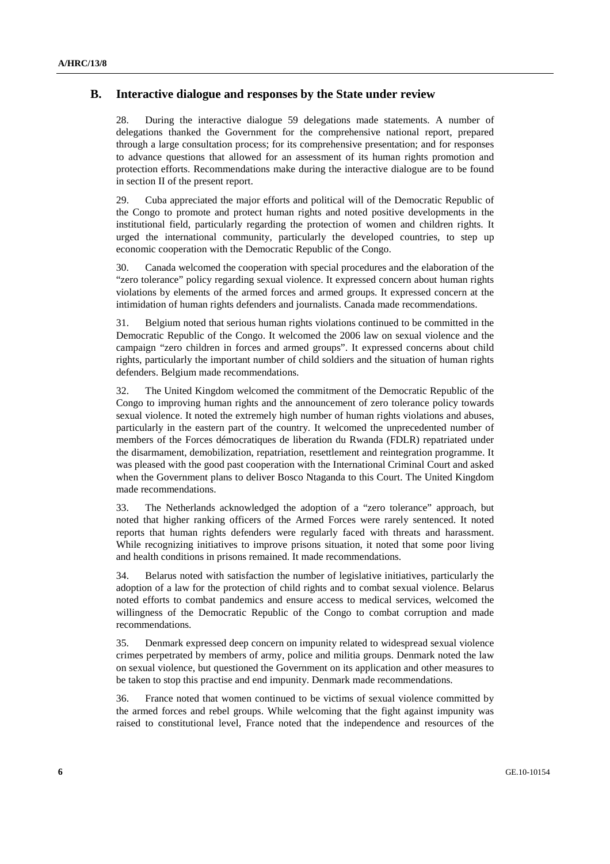#### **B. Interactive dialogue and responses by the State under review**

28. During the interactive dialogue 59 delegations made statements. A number of delegations thanked the Government for the comprehensive national report, prepared through a large consultation process; for its comprehensive presentation; and for responses to advance questions that allowed for an assessment of its human rights promotion and protection efforts. Recommendations make during the interactive dialogue are to be found in section II of the present report.

29. Cuba appreciated the major efforts and political will of the Democratic Republic of the Congo to promote and protect human rights and noted positive developments in the institutional field, particularly regarding the protection of women and children rights. It urged the international community, particularly the developed countries, to step up economic cooperation with the Democratic Republic of the Congo.

30. Canada welcomed the cooperation with special procedures and the elaboration of the "zero tolerance" policy regarding sexual violence. It expressed concern about human rights violations by elements of the armed forces and armed groups. It expressed concern at the intimidation of human rights defenders and journalists. Canada made recommendations.

31. Belgium noted that serious human rights violations continued to be committed in the Democratic Republic of the Congo. It welcomed the 2006 law on sexual violence and the campaign "zero children in forces and armed groups". It expressed concerns about child rights, particularly the important number of child soldiers and the situation of human rights defenders. Belgium made recommendations.

32. The United Kingdom welcomed the commitment of the Democratic Republic of the Congo to improving human rights and the announcement of zero tolerance policy towards sexual violence. It noted the extremely high number of human rights violations and abuses, particularly in the eastern part of the country. It welcomed the unprecedented number of members of the Forces démocratiques de liberation du Rwanda (FDLR) repatriated under the disarmament, demobilization, repatriation, resettlement and reintegration programme. It was pleased with the good past cooperation with the International Criminal Court and asked when the Government plans to deliver Bosco Ntaganda to this Court. The United Kingdom made recommendations.

33. The Netherlands acknowledged the adoption of a "zero tolerance" approach, but noted that higher ranking officers of the Armed Forces were rarely sentenced. It noted reports that human rights defenders were regularly faced with threats and harassment. While recognizing initiatives to improve prisons situation, it noted that some poor living and health conditions in prisons remained. It made recommendations.

34. Belarus noted with satisfaction the number of legislative initiatives, particularly the adoption of a law for the protection of child rights and to combat sexual violence. Belarus noted efforts to combat pandemics and ensure access to medical services, welcomed the willingness of the Democratic Republic of the Congo to combat corruption and made recommendations.

35. Denmark expressed deep concern on impunity related to widespread sexual violence crimes perpetrated by members of army, police and militia groups. Denmark noted the law on sexual violence, but questioned the Government on its application and other measures to be taken to stop this practise and end impunity. Denmark made recommendations.

36. France noted that women continued to be victims of sexual violence committed by the armed forces and rebel groups. While welcoming that the fight against impunity was raised to constitutional level, France noted that the independence and resources of the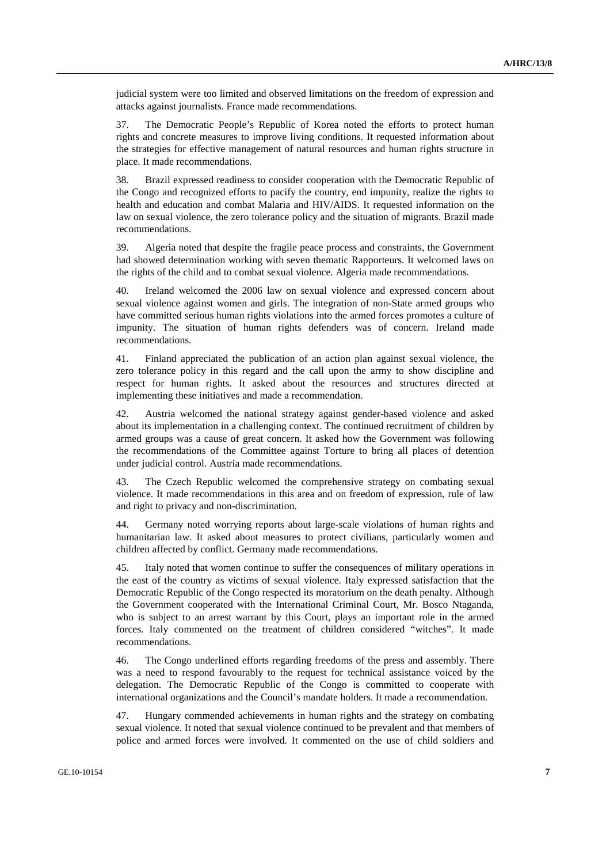judicial system were too limited and observed limitations on the freedom of expression and attacks against journalists. France made recommendations.

37. The Democratic People's Republic of Korea noted the efforts to protect human rights and concrete measures to improve living conditions. It requested information about the strategies for effective management of natural resources and human rights structure in place. It made recommendations.

38. Brazil expressed readiness to consider cooperation with the Democratic Republic of the Congo and recognized efforts to pacify the country, end impunity, realize the rights to health and education and combat Malaria and HIV/AIDS. It requested information on the law on sexual violence, the zero tolerance policy and the situation of migrants. Brazil made recommendations.

39. Algeria noted that despite the fragile peace process and constraints, the Government had showed determination working with seven thematic Rapporteurs. It welcomed laws on the rights of the child and to combat sexual violence. Algeria made recommendations.

40. Ireland welcomed the 2006 law on sexual violence and expressed concern about sexual violence against women and girls. The integration of non-State armed groups who have committed serious human rights violations into the armed forces promotes a culture of impunity. The situation of human rights defenders was of concern. Ireland made recommendations.

41. Finland appreciated the publication of an action plan against sexual violence, the zero tolerance policy in this regard and the call upon the army to show discipline and respect for human rights. It asked about the resources and structures directed at implementing these initiatives and made a recommendation.

42. Austria welcomed the national strategy against gender-based violence and asked about its implementation in a challenging context. The continued recruitment of children by armed groups was a cause of great concern. It asked how the Government was following the recommendations of the Committee against Torture to bring all places of detention under judicial control. Austria made recommendations.

43. The Czech Republic welcomed the comprehensive strategy on combating sexual violence. It made recommendations in this area and on freedom of expression, rule of law and right to privacy and non-discrimination.

44. Germany noted worrying reports about large-scale violations of human rights and humanitarian law. It asked about measures to protect civilians, particularly women and children affected by conflict. Germany made recommendations.

45. Italy noted that women continue to suffer the consequences of military operations in the east of the country as victims of sexual violence. Italy expressed satisfaction that the Democratic Republic of the Congo respected its moratorium on the death penalty. Although the Government cooperated with the International Criminal Court, Mr. Bosco Ntaganda, who is subject to an arrest warrant by this Court, plays an important role in the armed forces. Italy commented on the treatment of children considered "witches". It made recommendations.

46. The Congo underlined efforts regarding freedoms of the press and assembly. There was a need to respond favourably to the request for technical assistance voiced by the delegation. The Democratic Republic of the Congo is committed to cooperate with international organizations and the Council's mandate holders. It made a recommendation.

47. Hungary commended achievements in human rights and the strategy on combating sexual violence. It noted that sexual violence continued to be prevalent and that members of police and armed forces were involved. It commented on the use of child soldiers and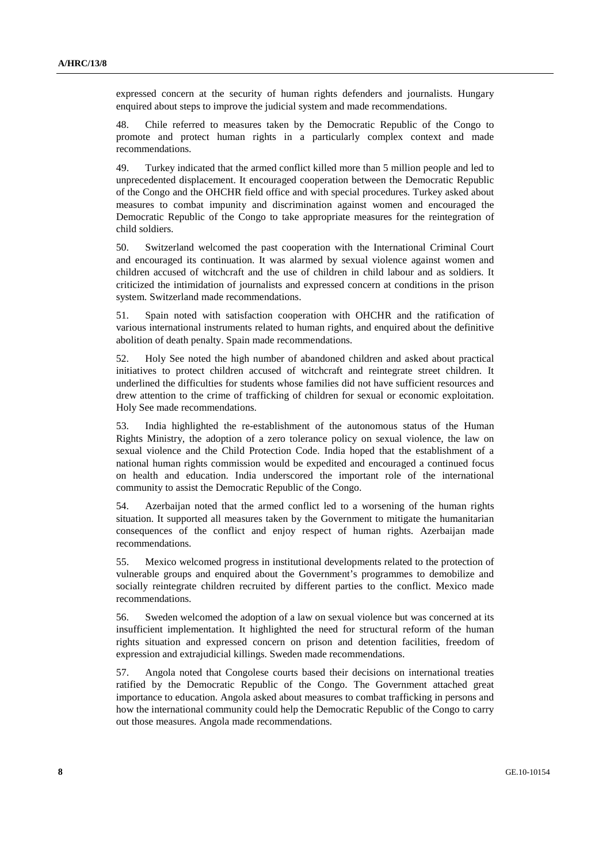expressed concern at the security of human rights defenders and journalists. Hungary enquired about steps to improve the judicial system and made recommendations.

48. Chile referred to measures taken by the Democratic Republic of the Congo to promote and protect human rights in a particularly complex context and made recommendations.

49. Turkey indicated that the armed conflict killed more than 5 million people and led to unprecedented displacement. It encouraged cooperation between the Democratic Republic of the Congo and the OHCHR field office and with special procedures. Turkey asked about measures to combat impunity and discrimination against women and encouraged the Democratic Republic of the Congo to take appropriate measures for the reintegration of child soldiers.

50. Switzerland welcomed the past cooperation with the International Criminal Court and encouraged its continuation. It was alarmed by sexual violence against women and children accused of witchcraft and the use of children in child labour and as soldiers. It criticized the intimidation of journalists and expressed concern at conditions in the prison system. Switzerland made recommendations.

51. Spain noted with satisfaction cooperation with OHCHR and the ratification of various international instruments related to human rights, and enquired about the definitive abolition of death penalty. Spain made recommendations.

52. Holy See noted the high number of abandoned children and asked about practical initiatives to protect children accused of witchcraft and reintegrate street children. It underlined the difficulties for students whose families did not have sufficient resources and drew attention to the crime of trafficking of children for sexual or economic exploitation. Holy See made recommendations.

53. India highlighted the re-establishment of the autonomous status of the Human Rights Ministry, the adoption of a zero tolerance policy on sexual violence, the law on sexual violence and the Child Protection Code. India hoped that the establishment of a national human rights commission would be expedited and encouraged a continued focus on health and education. India underscored the important role of the international community to assist the Democratic Republic of the Congo.

54. Azerbaijan noted that the armed conflict led to a worsening of the human rights situation. It supported all measures taken by the Government to mitigate the humanitarian consequences of the conflict and enjoy respect of human rights. Azerbaijan made recommendations.

55. Mexico welcomed progress in institutional developments related to the protection of vulnerable groups and enquired about the Government's programmes to demobilize and socially reintegrate children recruited by different parties to the conflict. Mexico made recommendations.

56. Sweden welcomed the adoption of a law on sexual violence but was concerned at its insufficient implementation. It highlighted the need for structural reform of the human rights situation and expressed concern on prison and detention facilities, freedom of expression and extrajudicial killings. Sweden made recommendations.

57. Angola noted that Congolese courts based their decisions on international treaties ratified by the Democratic Republic of the Congo. The Government attached great importance to education. Angola asked about measures to combat trafficking in persons and how the international community could help the Democratic Republic of the Congo to carry out those measures. Angola made recommendations.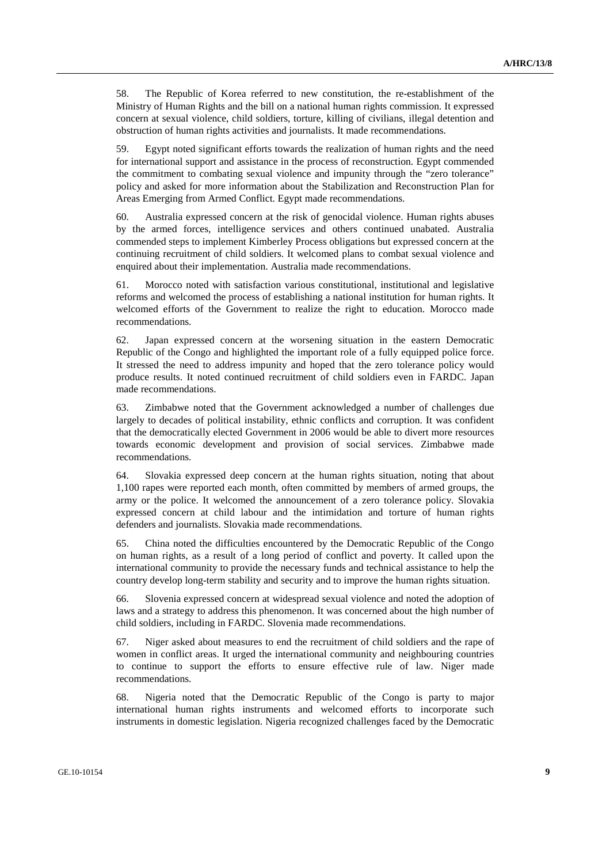58. The Republic of Korea referred to new constitution, the re-establishment of the Ministry of Human Rights and the bill on a national human rights commission. It expressed concern at sexual violence, child soldiers, torture, killing of civilians, illegal detention and obstruction of human rights activities and journalists. It made recommendations.

59. Egypt noted significant efforts towards the realization of human rights and the need for international support and assistance in the process of reconstruction. Egypt commended the commitment to combating sexual violence and impunity through the "zero tolerance" policy and asked for more information about the Stabilization and Reconstruction Plan for Areas Emerging from Armed Conflict. Egypt made recommendations.

60. Australia expressed concern at the risk of genocidal violence. Human rights abuses by the armed forces, intelligence services and others continued unabated. Australia commended steps to implement Kimberley Process obligations but expressed concern at the continuing recruitment of child soldiers. It welcomed plans to combat sexual violence and enquired about their implementation. Australia made recommendations.

61. Morocco noted with satisfaction various constitutional, institutional and legislative reforms and welcomed the process of establishing a national institution for human rights. It welcomed efforts of the Government to realize the right to education. Morocco made recommendations.

62. Japan expressed concern at the worsening situation in the eastern Democratic Republic of the Congo and highlighted the important role of a fully equipped police force. It stressed the need to address impunity and hoped that the zero tolerance policy would produce results. It noted continued recruitment of child soldiers even in FARDC. Japan made recommendations.

63. Zimbabwe noted that the Government acknowledged a number of challenges due largely to decades of political instability, ethnic conflicts and corruption. It was confident that the democratically elected Government in 2006 would be able to divert more resources towards economic development and provision of social services. Zimbabwe made recommendations.

64. Slovakia expressed deep concern at the human rights situation, noting that about 1,100 rapes were reported each month, often committed by members of armed groups, the army or the police. It welcomed the announcement of a zero tolerance policy. Slovakia expressed concern at child labour and the intimidation and torture of human rights defenders and journalists. Slovakia made recommendations.

65. China noted the difficulties encountered by the Democratic Republic of the Congo on human rights, as a result of a long period of conflict and poverty. It called upon the international community to provide the necessary funds and technical assistance to help the country develop long-term stability and security and to improve the human rights situation.

66. Slovenia expressed concern at widespread sexual violence and noted the adoption of laws and a strategy to address this phenomenon. It was concerned about the high number of child soldiers, including in FARDC. Slovenia made recommendations.

67. Niger asked about measures to end the recruitment of child soldiers and the rape of women in conflict areas. It urged the international community and neighbouring countries to continue to support the efforts to ensure effective rule of law. Niger made recommendations.

68. Nigeria noted that the Democratic Republic of the Congo is party to major international human rights instruments and welcomed efforts to incorporate such instruments in domestic legislation. Nigeria recognized challenges faced by the Democratic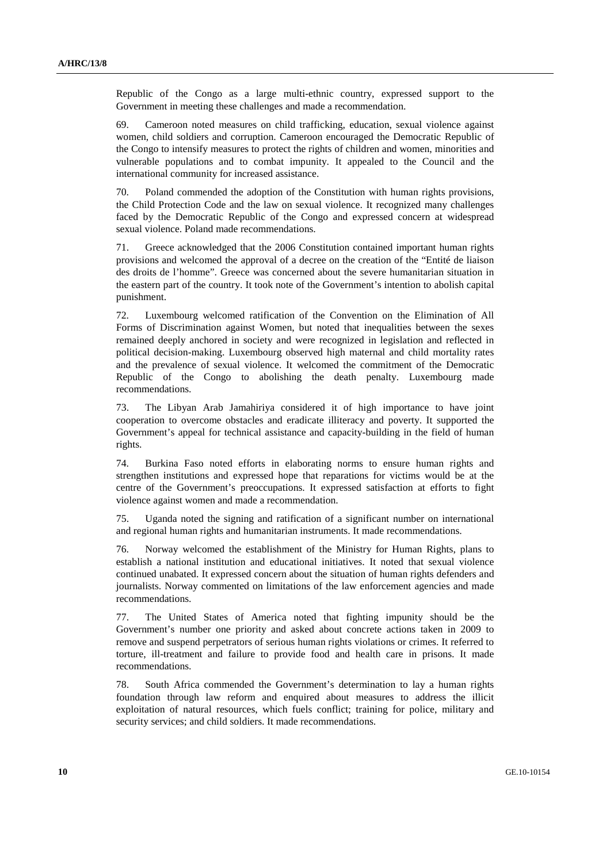Republic of the Congo as a large multi-ethnic country, expressed support to the Government in meeting these challenges and made a recommendation.

69. Cameroon noted measures on child trafficking, education, sexual violence against women, child soldiers and corruption. Cameroon encouraged the Democratic Republic of the Congo to intensify measures to protect the rights of children and women, minorities and vulnerable populations and to combat impunity. It appealed to the Council and the international community for increased assistance.

70. Poland commended the adoption of the Constitution with human rights provisions, the Child Protection Code and the law on sexual violence. It recognized many challenges faced by the Democratic Republic of the Congo and expressed concern at widespread sexual violence. Poland made recommendations.

71. Greece acknowledged that the 2006 Constitution contained important human rights provisions and welcomed the approval of a decree on the creation of the "Entité de liaison des droits de l'homme". Greece was concerned about the severe humanitarian situation in the eastern part of the country. It took note of the Government's intention to abolish capital punishment.

72. Luxembourg welcomed ratification of the Convention on the Elimination of All Forms of Discrimination against Women, but noted that inequalities between the sexes remained deeply anchored in society and were recognized in legislation and reflected in political decision-making. Luxembourg observed high maternal and child mortality rates and the prevalence of sexual violence. It welcomed the commitment of the Democratic Republic of the Congo to abolishing the death penalty. Luxembourg made recommendations.

73. The Libyan Arab Jamahiriya considered it of high importance to have joint cooperation to overcome obstacles and eradicate illiteracy and poverty. It supported the Government's appeal for technical assistance and capacity-building in the field of human rights.

74. Burkina Faso noted efforts in elaborating norms to ensure human rights and strengthen institutions and expressed hope that reparations for victims would be at the centre of the Government's preoccupations. It expressed satisfaction at efforts to fight violence against women and made a recommendation.

75. Uganda noted the signing and ratification of a significant number on international and regional human rights and humanitarian instruments. It made recommendations.

76. Norway welcomed the establishment of the Ministry for Human Rights, plans to establish a national institution and educational initiatives. It noted that sexual violence continued unabated. It expressed concern about the situation of human rights defenders and journalists. Norway commented on limitations of the law enforcement agencies and made recommendations.

77. The United States of America noted that fighting impunity should be the Government's number one priority and asked about concrete actions taken in 2009 to remove and suspend perpetrators of serious human rights violations or crimes. It referred to torture, ill-treatment and failure to provide food and health care in prisons. It made recommendations.

78. South Africa commended the Government's determination to lay a human rights foundation through law reform and enquired about measures to address the illicit exploitation of natural resources, which fuels conflict; training for police, military and security services; and child soldiers. It made recommendations.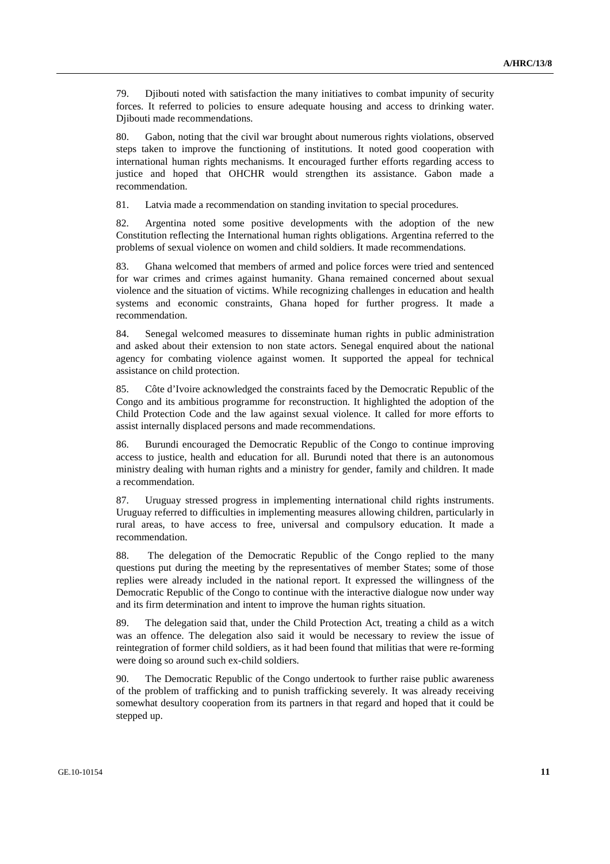79. Djibouti noted with satisfaction the many initiatives to combat impunity of security forces. It referred to policies to ensure adequate housing and access to drinking water. Djibouti made recommendations.

80. Gabon, noting that the civil war brought about numerous rights violations, observed steps taken to improve the functioning of institutions. It noted good cooperation with international human rights mechanisms. It encouraged further efforts regarding access to justice and hoped that OHCHR would strengthen its assistance. Gabon made a recommendation.

81. Latvia made a recommendation on standing invitation to special procedures.

82. Argentina noted some positive developments with the adoption of the new Constitution reflecting the International human rights obligations. Argentina referred to the problems of sexual violence on women and child soldiers. It made recommendations.

83. Ghana welcomed that members of armed and police forces were tried and sentenced for war crimes and crimes against humanity. Ghana remained concerned about sexual violence and the situation of victims. While recognizing challenges in education and health systems and economic constraints, Ghana hoped for further progress. It made a recommendation.

84. Senegal welcomed measures to disseminate human rights in public administration and asked about their extension to non state actors. Senegal enquired about the national agency for combating violence against women. It supported the appeal for technical assistance on child protection.

85. Côte d'Ivoire acknowledged the constraints faced by the Democratic Republic of the Congo and its ambitious programme for reconstruction. It highlighted the adoption of the Child Protection Code and the law against sexual violence. It called for more efforts to assist internally displaced persons and made recommendations.

86. Burundi encouraged the Democratic Republic of the Congo to continue improving access to justice, health and education for all. Burundi noted that there is an autonomous ministry dealing with human rights and a ministry for gender, family and children. It made a recommendation.

87. Uruguay stressed progress in implementing international child rights instruments. Uruguay referred to difficulties in implementing measures allowing children, particularly in rural areas, to have access to free, universal and compulsory education. It made a recommendation.

88. The delegation of the Democratic Republic of the Congo replied to the many questions put during the meeting by the representatives of member States; some of those replies were already included in the national report. It expressed the willingness of the Democratic Republic of the Congo to continue with the interactive dialogue now under way and its firm determination and intent to improve the human rights situation.

89. The delegation said that, under the Child Protection Act, treating a child as a witch was an offence. The delegation also said it would be necessary to review the issue of reintegration of former child soldiers, as it had been found that militias that were re-forming were doing so around such ex-child soldiers.

90. The Democratic Republic of the Congo undertook to further raise public awareness of the problem of trafficking and to punish trafficking severely. It was already receiving somewhat desultory cooperation from its partners in that regard and hoped that it could be stepped up.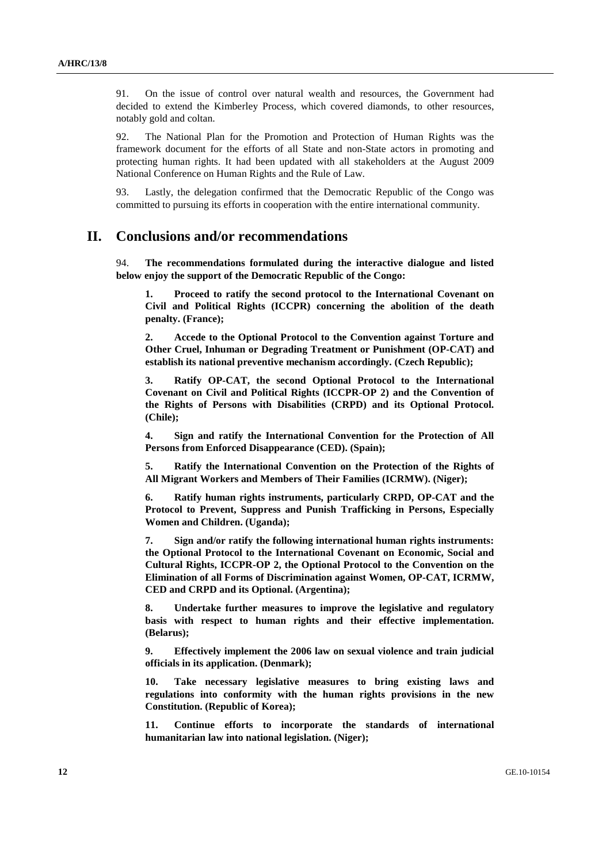91. On the issue of control over natural wealth and resources, the Government had decided to extend the Kimberley Process, which covered diamonds, to other resources, notably gold and coltan.

92. The National Plan for the Promotion and Protection of Human Rights was the framework document for the efforts of all State and non-State actors in promoting and protecting human rights. It had been updated with all stakeholders at the August 2009 National Conference on Human Rights and the Rule of Law.

93. Lastly, the delegation confirmed that the Democratic Republic of the Congo was committed to pursuing its efforts in cooperation with the entire international community.

### **II. Conclusions and/or recommendations**

94. **The recommendations formulated during the interactive dialogue and listed below enjoy the support of the Democratic Republic of the Congo:** 

 **1. Proceed to ratify the second protocol to the International Covenant on Civil and Political Rights (ICCPR) concerning the abolition of the death penalty. (France);** 

 **2. Accede to the Optional Protocol to the Convention against Torture and Other Cruel, Inhuman or Degrading Treatment or Punishment (OP-CAT) and establish its national preventive mechanism accordingly. (Czech Republic);** 

 **3. Ratify OP-CAT, the second Optional Protocol to the International Covenant on Civil and Political Rights (ICCPR-OP 2) and the Convention of the Rights of Persons with Disabilities (CRPD) and its Optional Protocol. (Chile);** 

 **4. Sign and ratify the International Convention for the Protection of All Persons from Enforced Disappearance (CED). (Spain);** 

 **5. Ratify the International Convention on the Protection of the Rights of All Migrant Workers and Members of Their Families (ICRMW). (Niger);** 

 **6. Ratify human rights instruments, particularly CRPD, OP-CAT and the Protocol to Prevent, Suppress and Punish Trafficking in Persons, Especially Women and Children. (Uganda);** 

 **7. Sign and/or ratify the following international human rights instruments: the Optional Protocol to the International Covenant on Economic, Social and Cultural Rights, ICCPR-OP 2, the Optional Protocol to the Convention on the Elimination of all Forms of Discrimination against Women, OP-CAT, ICRMW, CED and CRPD and its Optional. (Argentina);** 

 **8. Undertake further measures to improve the legislative and regulatory basis with respect to human rights and their effective implementation. (Belarus);** 

 **9. Effectively implement the 2006 law on sexual violence and train judicial officials in its application. (Denmark);** 

 **10. Take necessary legislative measures to bring existing laws and regulations into conformity with the human rights provisions in the new Constitution. (Republic of Korea);** 

 **11. Continue efforts to incorporate the standards of international humanitarian law into national legislation. (Niger);**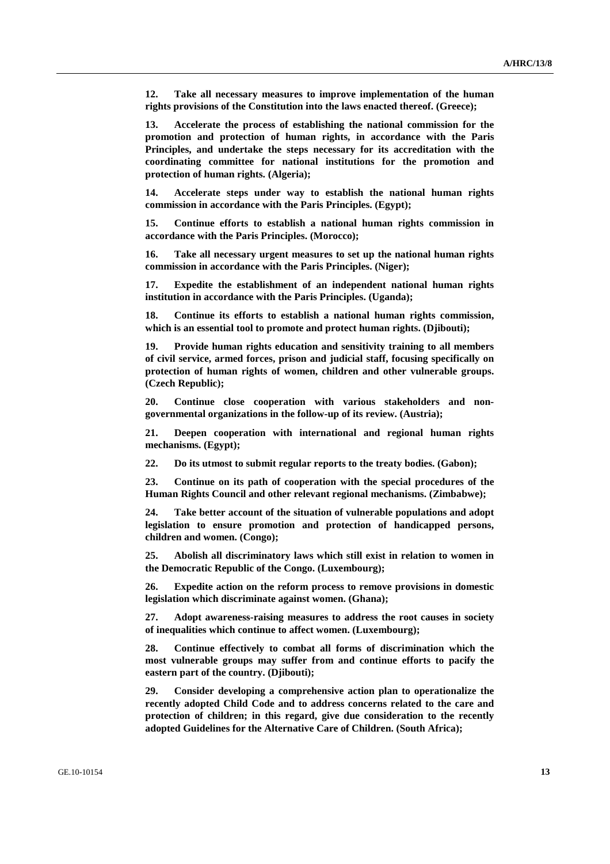**12. Take all necessary measures to improve implementation of the human rights provisions of the Constitution into the laws enacted thereof. (Greece);** 

 **13. Accelerate the process of establishing the national commission for the promotion and protection of human rights, in accordance with the Paris Principles, and undertake the steps necessary for its accreditation with the coordinating committee for national institutions for the promotion and protection of human rights. (Algeria);** 

 **14. Accelerate steps under way to establish the national human rights commission in accordance with the Paris Principles. (Egypt);** 

 **15. Continue efforts to establish a national human rights commission in accordance with the Paris Principles. (Morocco);** 

 **16. Take all necessary urgent measures to set up the national human rights commission in accordance with the Paris Principles. (Niger);** 

 **17. Expedite the establishment of an independent national human rights institution in accordance with the Paris Principles. (Uganda);** 

 **18. Continue its efforts to establish a national human rights commission, which is an essential tool to promote and protect human rights. (Djibouti);** 

 **19. Provide human rights education and sensitivity training to all members of civil service, armed forces, prison and judicial staff, focusing specifically on protection of human rights of women, children and other vulnerable groups. (Czech Republic);** 

 **20. Continue close cooperation with various stakeholders and nongovernmental organizations in the follow-up of its review. (Austria);** 

 **21. Deepen cooperation with international and regional human rights mechanisms. (Egypt);** 

 **22. Do its utmost to submit regular reports to the treaty bodies. (Gabon);** 

 **23. Continue on its path of cooperation with the special procedures of the Human Rights Council and other relevant regional mechanisms. (Zimbabwe);** 

 **24. Take better account of the situation of vulnerable populations and adopt legislation to ensure promotion and protection of handicapped persons, children and women. (Congo);** 

 **25. Abolish all discriminatory laws which still exist in relation to women in the Democratic Republic of the Congo. (Luxembourg);** 

 **26. Expedite action on the reform process to remove provisions in domestic legislation which discriminate against women. (Ghana);** 

 **27. Adopt awareness-raising measures to address the root causes in society of inequalities which continue to affect women. (Luxembourg);** 

 **28. Continue effectively to combat all forms of discrimination which the most vulnerable groups may suffer from and continue efforts to pacify the eastern part of the country. (Djibouti);** 

 **29. Consider developing a comprehensive action plan to operationalize the recently adopted Child Code and to address concerns related to the care and protection of children; in this regard, give due consideration to the recently adopted Guidelines for the Alternative Care of Children. (South Africa);**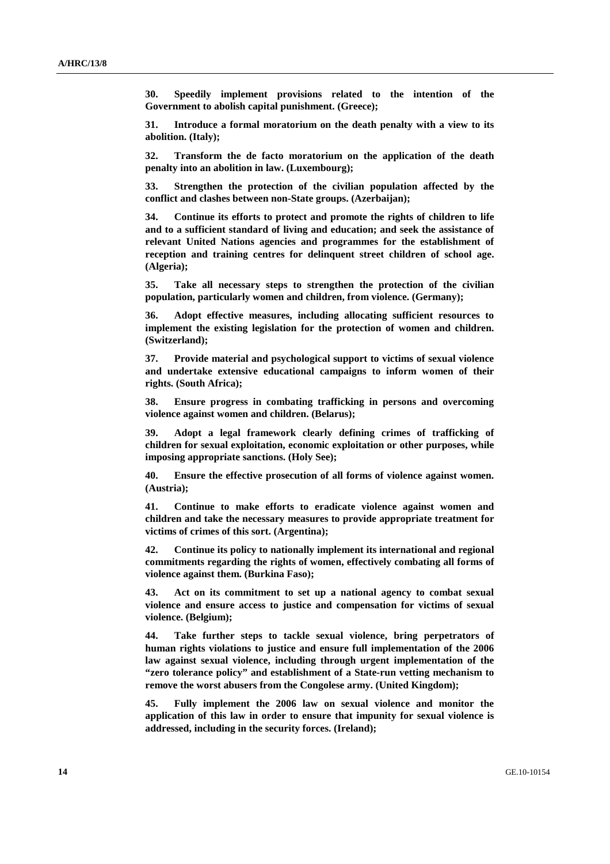**30. Speedily implement provisions related to the intention of the Government to abolish capital punishment. (Greece);** 

 **31. Introduce a formal moratorium on the death penalty with a view to its abolition. (Italy);** 

 **32. Transform the de facto moratorium on the application of the death penalty into an abolition in law. (Luxembourg);** 

 **33. Strengthen the protection of the civilian population affected by the conflict and clashes between non-State groups. (Azerbaijan);** 

 **34. Continue its efforts to protect and promote the rights of children to life and to a sufficient standard of living and education; and seek the assistance of relevant United Nations agencies and programmes for the establishment of reception and training centres for delinquent street children of school age. (Algeria);** 

 **35. Take all necessary steps to strengthen the protection of the civilian population, particularly women and children, from violence. (Germany);** 

 **36. Adopt effective measures, including allocating sufficient resources to implement the existing legislation for the protection of women and children. (Switzerland);** 

 **37. Provide material and psychological support to victims of sexual violence and undertake extensive educational campaigns to inform women of their rights. (South Africa);** 

 **38. Ensure progress in combating trafficking in persons and overcoming violence against women and children. (Belarus);** 

 **39. Adopt a legal framework clearly defining crimes of trafficking of children for sexual exploitation, economic exploitation or other purposes, while imposing appropriate sanctions. (Holy See);** 

 **40. Ensure the effective prosecution of all forms of violence against women. (Austria);** 

 **41. Continue to make efforts to eradicate violence against women and children and take the necessary measures to provide appropriate treatment for victims of crimes of this sort. (Argentina);** 

 **42. Continue its policy to nationally implement its international and regional commitments regarding the rights of women, effectively combating all forms of violence against them. (Burkina Faso);** 

Act on its commitment to set up a national agency to combat sexual **violence and ensure access to justice and compensation for victims of sexual violence. (Belgium);** 

 **44. Take further steps to tackle sexual violence, bring perpetrators of human rights violations to justice and ensure full implementation of the 2006 law against sexual violence, including through urgent implementation of the "zero tolerance policy" and establishment of a State-run vetting mechanism to remove the worst abusers from the Congolese army. (United Kingdom);** 

 **45. Fully implement the 2006 law on sexual violence and monitor the application of this law in order to ensure that impunity for sexual violence is addressed, including in the security forces. (Ireland);**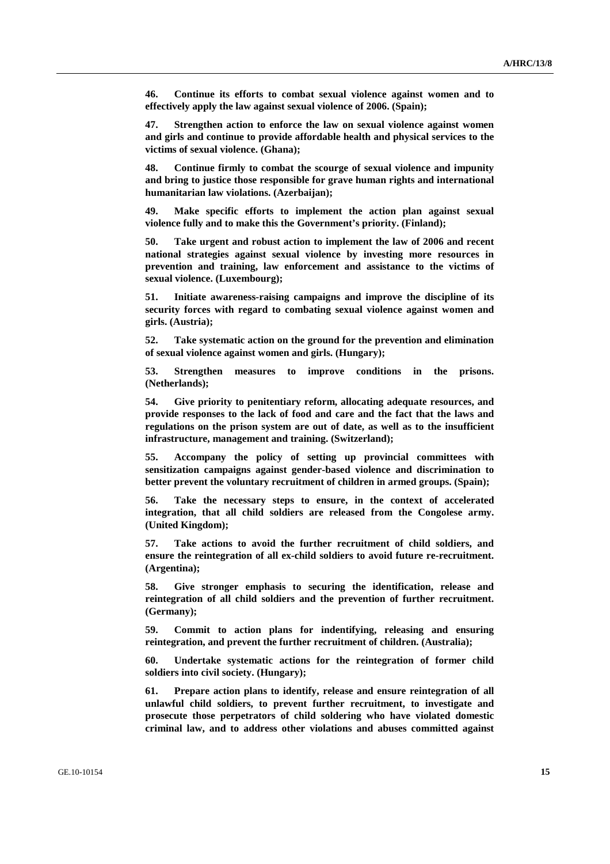**46. Continue its efforts to combat sexual violence against women and to effectively apply the law against sexual violence of 2006. (Spain);** 

 **47. Strengthen action to enforce the law on sexual violence against women and girls and continue to provide affordable health and physical services to the victims of sexual violence. (Ghana);** 

 **48. Continue firmly to combat the scourge of sexual violence and impunity and bring to justice those responsible for grave human rights and international humanitarian law violations. (Azerbaijan);** 

 **49. Make specific efforts to implement the action plan against sexual violence fully and to make this the Government's priority. (Finland);** 

 **50. Take urgent and robust action to implement the law of 2006 and recent national strategies against sexual violence by investing more resources in prevention and training, law enforcement and assistance to the victims of sexual violence. (Luxembourg);** 

 **51. Initiate awareness-raising campaigns and improve the discipline of its security forces with regard to combating sexual violence against women and girls. (Austria);** 

 **52. Take systematic action on the ground for the prevention and elimination of sexual violence against women and girls. (Hungary);** 

 **53. Strengthen measures to improve conditions in the prisons. (Netherlands);** 

 **54. Give priority to penitentiary reform, allocating adequate resources, and provide responses to the lack of food and care and the fact that the laws and regulations on the prison system are out of date, as well as to the insufficient infrastructure, management and training. (Switzerland);** 

 **55. Accompany the policy of setting up provincial committees with sensitization campaigns against gender-based violence and discrimination to better prevent the voluntary recruitment of children in armed groups. (Spain);** 

 **56. Take the necessary steps to ensure, in the context of accelerated integration, that all child soldiers are released from the Congolese army. (United Kingdom);** 

 **57. Take actions to avoid the further recruitment of child soldiers, and ensure the reintegration of all ex-child soldiers to avoid future re-recruitment. (Argentina);** 

 **58. Give stronger emphasis to securing the identification, release and reintegration of all child soldiers and the prevention of further recruitment. (Germany);** 

 **59. Commit to action plans for indentifying, releasing and ensuring reintegration, and prevent the further recruitment of children. (Australia);** 

 **60. Undertake systematic actions for the reintegration of former child soldiers into civil society. (Hungary);** 

 **61. Prepare action plans to identify, release and ensure reintegration of all unlawful child soldiers, to prevent further recruitment, to investigate and prosecute those perpetrators of child soldering who have violated domestic criminal law, and to address other violations and abuses committed against**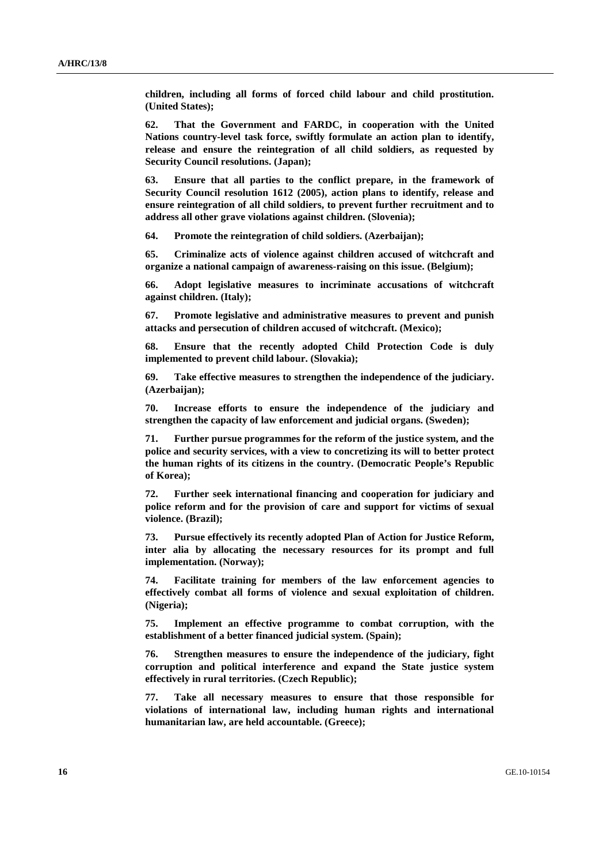**children, including all forms of forced child labour and child prostitution. (United States);** 

 **62. That the Government and FARDC, in cooperation with the United Nations country-level task force, swiftly formulate an action plan to identify, release and ensure the reintegration of all child soldiers, as requested by Security Council resolutions. (Japan);** 

 **63. Ensure that all parties to the conflict prepare, in the framework of Security Council resolution 1612 (2005), action plans to identify, release and ensure reintegration of all child soldiers, to prevent further recruitment and to address all other grave violations against children. (Slovenia);** 

 **64. Promote the reintegration of child soldiers. (Azerbaijan);** 

 **65. Criminalize acts of violence against children accused of witchcraft and organize a national campaign of awareness-raising on this issue. (Belgium);** 

 **66. Adopt legislative measures to incriminate accusations of witchcraft against children. (Italy);** 

 **67. Promote legislative and administrative measures to prevent and punish attacks and persecution of children accused of witchcraft. (Mexico);** 

 **68. Ensure that the recently adopted Child Protection Code is duly implemented to prevent child labour. (Slovakia);** 

 **69. Take effective measures to strengthen the independence of the judiciary. (Azerbaijan);** 

 **70. Increase efforts to ensure the independence of the judiciary and strengthen the capacity of law enforcement and judicial organs. (Sweden);** 

 **71. Further pursue programmes for the reform of the justice system, and the police and security services, with a view to concretizing its will to better protect the human rights of its citizens in the country. (Democratic People's Republic of Korea);** 

 **72. Further seek international financing and cooperation for judiciary and police reform and for the provision of care and support for victims of sexual violence. (Brazil);** 

 **73. Pursue effectively its recently adopted Plan of Action for Justice Reform, inter alia by allocating the necessary resources for its prompt and full implementation. (Norway);** 

 **74. Facilitate training for members of the law enforcement agencies to effectively combat all forms of violence and sexual exploitation of children. (Nigeria);** 

 **75. Implement an effective programme to combat corruption, with the establishment of a better financed judicial system. (Spain);** 

 **76. Strengthen measures to ensure the independence of the judiciary, fight corruption and political interference and expand the State justice system effectively in rural territories. (Czech Republic);** 

 **77. Take all necessary measures to ensure that those responsible for violations of international law, including human rights and international humanitarian law, are held accountable. (Greece);**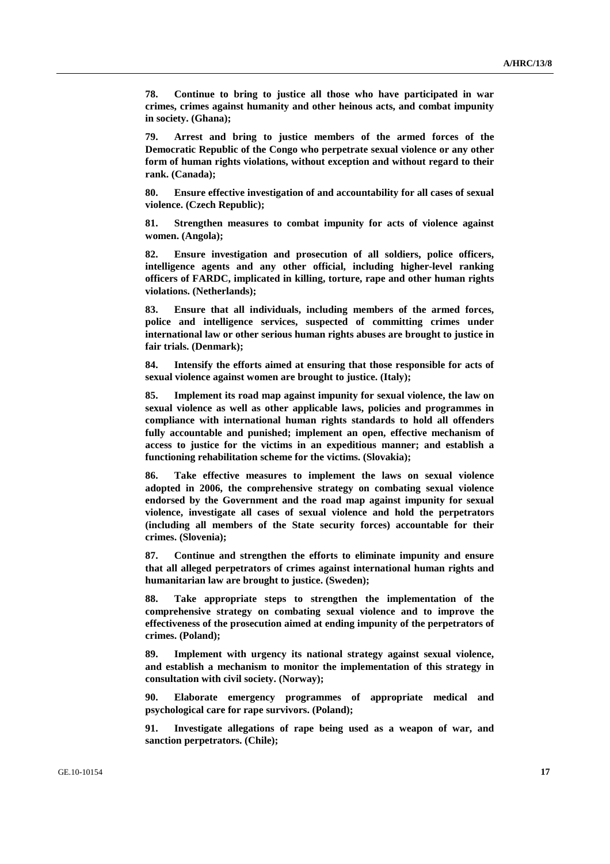**78. Continue to bring to justice all those who have participated in war crimes, crimes against humanity and other heinous acts, and combat impunity in society. (Ghana);**

 **79. Arrest and bring to justice members of the armed forces of the Democratic Republic of the Congo who perpetrate sexual violence or any other form of human rights violations, without exception and without regard to their rank. (Canada);** 

 **80. Ensure effective investigation of and accountability for all cases of sexual violence. (Czech Republic);** 

 **81. Strengthen measures to combat impunity for acts of violence against women. (Angola);** 

 **82. Ensure investigation and prosecution of all soldiers, police officers, intelligence agents and any other official, including higher-level ranking officers of FARDC, implicated in killing, torture, rape and other human rights violations. (Netherlands);** 

 **83. Ensure that all individuals, including members of the armed forces, police and intelligence services, suspected of committing crimes under international law or other serious human rights abuses are brought to justice in fair trials. (Denmark);** 

 **84. Intensify the efforts aimed at ensuring that those responsible for acts of sexual violence against women are brought to justice. (Italy);** 

 **85. Implement its road map against impunity for sexual violence, the law on sexual violence as well as other applicable laws, policies and programmes in compliance with international human rights standards to hold all offenders fully accountable and punished; implement an open, effective mechanism of access to justice for the victims in an expeditious manner; and establish a functioning rehabilitation scheme for the victims. (Slovakia);** 

 **86. Take effective measures to implement the laws on sexual violence adopted in 2006, the comprehensive strategy on combating sexual violence endorsed by the Government and the road map against impunity for sexual violence, investigate all cases of sexual violence and hold the perpetrators (including all members of the State security forces) accountable for their crimes. (Slovenia);** 

 **87. Continue and strengthen the efforts to eliminate impunity and ensure that all alleged perpetrators of crimes against international human rights and humanitarian law are brought to justice. (Sweden);** 

 **88. Take appropriate steps to strengthen the implementation of the comprehensive strategy on combating sexual violence and to improve the effectiveness of the prosecution aimed at ending impunity of the perpetrators of crimes. (Poland);** 

 **89. Implement with urgency its national strategy against sexual violence, and establish a mechanism to monitor the implementation of this strategy in consultation with civil society. (Norway);** 

 **90. Elaborate emergency programmes of appropriate medical and psychological care for rape survivors. (Poland);** 

 **91. Investigate allegations of rape being used as a weapon of war, and sanction perpetrators. (Chile);**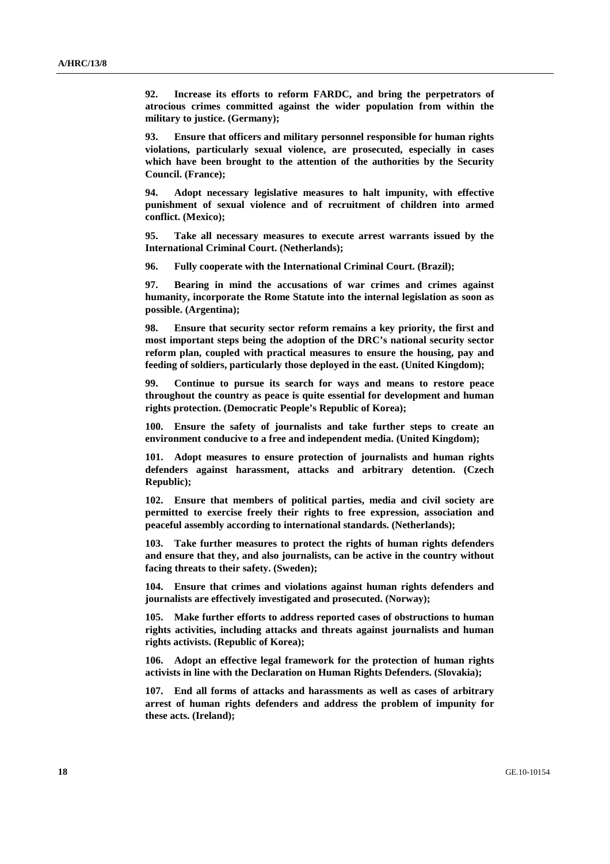**92. Increase its efforts to reform FARDC, and bring the perpetrators of atrocious crimes committed against the wider population from within the military to justice. (Germany);** 

 **93. Ensure that officers and military personnel responsible for human rights violations, particularly sexual violence, are prosecuted, especially in cases which have been brought to the attention of the authorities by the Security Council. (France);** 

 **94. Adopt necessary legislative measures to halt impunity, with effective punishment of sexual violence and of recruitment of children into armed conflict. (Mexico);** 

 **95. Take all necessary measures to execute arrest warrants issued by the International Criminal Court. (Netherlands);** 

 **96. Fully cooperate with the International Criminal Court. (Brazil);** 

 **97. Bearing in mind the accusations of war crimes and crimes against humanity, incorporate the Rome Statute into the internal legislation as soon as possible. (Argentina);** 

 **98. Ensure that security sector reform remains a key priority, the first and most important steps being the adoption of the DRC's national security sector reform plan, coupled with practical measures to ensure the housing, pay and feeding of soldiers, particularly those deployed in the east. (United Kingdom);** 

 **99. Continue to pursue its search for ways and means to restore peace throughout the country as peace is quite essential for development and human rights protection. (Democratic People's Republic of Korea);** 

 **100. Ensure the safety of journalists and take further steps to create an environment conducive to a free and independent media. (United Kingdom);** 

 **101. Adopt measures to ensure protection of journalists and human rights defenders against harassment, attacks and arbitrary detention. (Czech Republic);** 

 **102. Ensure that members of political parties, media and civil society are permitted to exercise freely their rights to free expression, association and peaceful assembly according to international standards. (Netherlands);** 

 **103. Take further measures to protect the rights of human rights defenders and ensure that they, and also journalists, can be active in the country without facing threats to their safety. (Sweden);** 

 **104. Ensure that crimes and violations against human rights defenders and journalists are effectively investigated and prosecuted. (Norway);** 

 **105. Make further efforts to address reported cases of obstructions to human rights activities, including attacks and threats against journalists and human rights activists. (Republic of Korea);** 

 **106. Adopt an effective legal framework for the protection of human rights activists in line with the Declaration on Human Rights Defenders. (Slovakia);** 

 **107. End all forms of attacks and harassments as well as cases of arbitrary arrest of human rights defenders and address the problem of impunity for these acts. (Ireland);**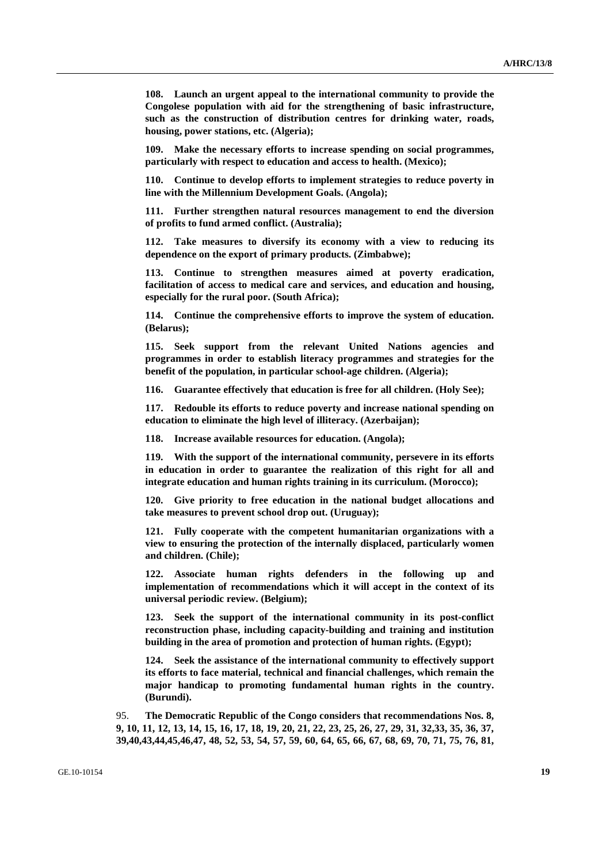**108. Launch an urgent appeal to the international community to provide the Congolese population with aid for the strengthening of basic infrastructure, such as the construction of distribution centres for drinking water, roads, housing, power stations, etc. (Algeria);** 

 **109. Make the necessary efforts to increase spending on social programmes, particularly with respect to education and access to health. (Mexico);** 

 **110. Continue to develop efforts to implement strategies to reduce poverty in line with the Millennium Development Goals. (Angola);** 

 **111. Further strengthen natural resources management to end the diversion of profits to fund armed conflict. (Australia);** 

 **112. Take measures to diversify its economy with a view to reducing its dependence on the export of primary products. (Zimbabwe);** 

 **113. Continue to strengthen measures aimed at poverty eradication, facilitation of access to medical care and services, and education and housing, especially for the rural poor. (South Africa);** 

 **114. Continue the comprehensive efforts to improve the system of education. (Belarus);** 

 **115. Seek support from the relevant United Nations agencies and programmes in order to establish literacy programmes and strategies for the benefit of the population, in particular school-age children. (Algeria);** 

 **116. Guarantee effectively that education is free for all children. (Holy See);** 

 **117. Redouble its efforts to reduce poverty and increase national spending on education to eliminate the high level of illiteracy. (Azerbaijan);** 

 **118. Increase available resources for education. (Angola);** 

 **119. With the support of the international community, persevere in its efforts in education in order to guarantee the realization of this right for all and integrate education and human rights training in its curriculum. (Morocco);** 

 **120. Give priority to free education in the national budget allocations and take measures to prevent school drop out. (Uruguay);** 

 **121. Fully cooperate with the competent humanitarian organizations with a view to ensuring the protection of the internally displaced, particularly women and children. (Chile);** 

 **122. Associate human rights defenders in the following up and implementation of recommendations which it will accept in the context of its universal periodic review. (Belgium);** 

 **123. Seek the support of the international community in its post-conflict reconstruction phase, including capacity-building and training and institution building in the area of promotion and protection of human rights. (Egypt);** 

 **124. Seek the assistance of the international community to effectively support its efforts to face material, technical and financial challenges, which remain the major handicap to promoting fundamental human rights in the country. (Burundi).** 

95. **The Democratic Republic of the Congo considers that recommendations Nos. 8, 9, 10, 11, 12, 13, 14, 15, 16, 17, 18, 19, 20, 21, 22, 23, 25, 26, 27, 29, 31, 32,33, 35, 36, 37, 39,40,43,44,45,46,47, 48, 52, 53, 54, 57, 59, 60, 64, 65, 66, 67, 68, 69, 70, 71, 75, 76, 81,**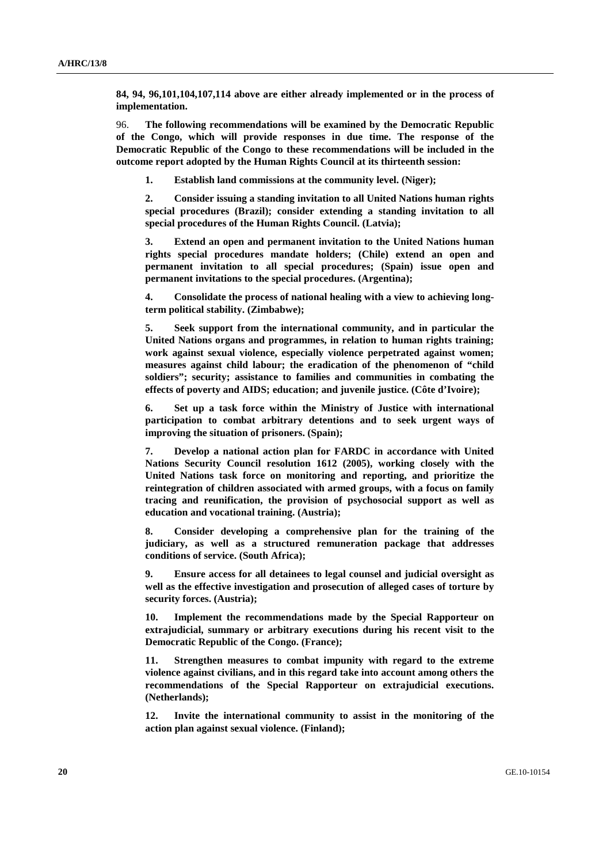**84, 94, 96,101,104,107,114 above are either already implemented or in the process of implementation.** 

96. **The following recommendations will be examined by the Democratic Republic of the Congo, which will provide responses in due time. The response of the Democratic Republic of the Congo to these recommendations will be included in the outcome report adopted by the Human Rights Council at its thirteenth session:** 

 **1. Establish land commissions at the community level. (Niger);** 

 **2. Consider issuing a standing invitation to all United Nations human rights special procedures (Brazil); consider extending a standing invitation to all special procedures of the Human Rights Council. (Latvia);** 

 **3. Extend an open and permanent invitation to the United Nations human rights special procedures mandate holders; (Chile) extend an open and permanent invitation to all special procedures; (Spain) issue open and permanent invitations to the special procedures. (Argentina);** 

 **4. Consolidate the process of national healing with a view to achieving longterm political stability. (Zimbabwe);** 

 **5. Seek support from the international community, and in particular the United Nations organs and programmes, in relation to human rights training; work against sexual violence, especially violence perpetrated against women; measures against child labour; the eradication of the phenomenon of "child soldiers"; security; assistance to families and communities in combating the effects of poverty and AIDS; education; and juvenile justice. (Côte d'Ivoire);** 

 **6. Set up a task force within the Ministry of Justice with international participation to combat arbitrary detentions and to seek urgent ways of improving the situation of prisoners. (Spain);** 

 **7. Develop a national action plan for FARDC in accordance with United Nations Security Council resolution 1612 (2005), working closely with the United Nations task force on monitoring and reporting, and prioritize the reintegration of children associated with armed groups, with a focus on family tracing and reunification, the provision of psychosocial support as well as education and vocational training. (Austria);** 

 **8. Consider developing a comprehensive plan for the training of the judiciary, as well as a structured remuneration package that addresses conditions of service. (South Africa);** 

 **9. Ensure access for all detainees to legal counsel and judicial oversight as well as the effective investigation and prosecution of alleged cases of torture by security forces. (Austria);** 

 **10. Implement the recommendations made by the Special Rapporteur on extrajudicial, summary or arbitrary executions during his recent visit to the Democratic Republic of the Congo. (France);** 

 **11. Strengthen measures to combat impunity with regard to the extreme violence against civilians, and in this regard take into account among others the recommendations of the Special Rapporteur on extrajudicial executions. (Netherlands);** 

 **12. Invite the international community to assist in the monitoring of the action plan against sexual violence. (Finland);**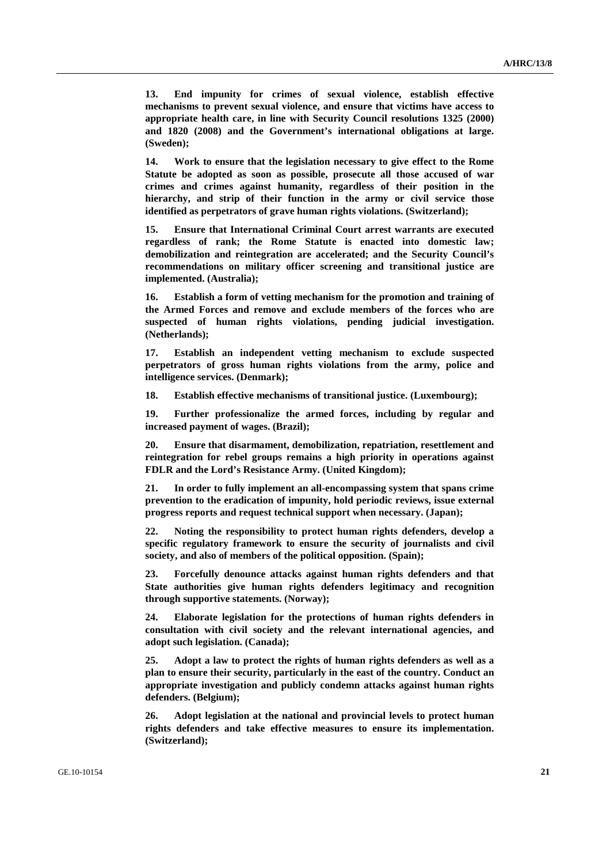**13. End impunity for crimes of sexual violence, establish effective mechanisms to prevent sexual violence, and ensure that victims have access to appropriate health care, in line with Security Council resolutions 1325 (2000) and 1820 (2008) and the Government's international obligations at large. (Sweden);** 

 **14. Work to ensure that the legislation necessary to give effect to the Rome Statute be adopted as soon as possible, prosecute all those accused of war crimes and crimes against humanity, regardless of their position in the hierarchy, and strip of their function in the army or civil service those identified as perpetrators of grave human rights violations. (Switzerland);** 

 **15. Ensure that International Criminal Court arrest warrants are executed regardless of rank; the Rome Statute is enacted into domestic law; demobilization and reintegration are accelerated; and the Security Council's recommendations on military officer screening and transitional justice are implemented. (Australia);** 

 **16. Establish a form of vetting mechanism for the promotion and training of the Armed Forces and remove and exclude members of the forces who are suspected of human rights violations, pending judicial investigation. (Netherlands);** 

 **17. Establish an independent vetting mechanism to exclude suspected perpetrators of gross human rights violations from the army, police and intelligence services. (Denmark);** 

 **18. Establish effective mechanisms of transitional justice. (Luxembourg);** 

 **19. Further professionalize the armed forces, including by regular and increased payment of wages. (Brazil);** 

 **20. Ensure that disarmament, demobilization, repatriation, resettlement and reintegration for rebel groups remains a high priority in operations against FDLR and the Lord's Resistance Army. (United Kingdom);** 

 **21. In order to fully implement an all-encompassing system that spans crime prevention to the eradication of impunity, hold periodic reviews, issue external progress reports and request technical support when necessary. (Japan);** 

 **22. Noting the responsibility to protect human rights defenders, develop a specific regulatory framework to ensure the security of journalists and civil society, and also of members of the political opposition. (Spain);** 

 **23. Forcefully denounce attacks against human rights defenders and that State authorities give human rights defenders legitimacy and recognition through supportive statements. (Norway);** 

 **24. Elaborate legislation for the protections of human rights defenders in consultation with civil society and the relevant international agencies, and adopt such legislation. (Canada);** 

 **25. Adopt a law to protect the rights of human rights defenders as well as a plan to ensure their security, particularly in the east of the country. Conduct an appropriate investigation and publicly condemn attacks against human rights defenders. (Belgium);** 

 **26. Adopt legislation at the national and provincial levels to protect human rights defenders and take effective measures to ensure its implementation. (Switzerland);**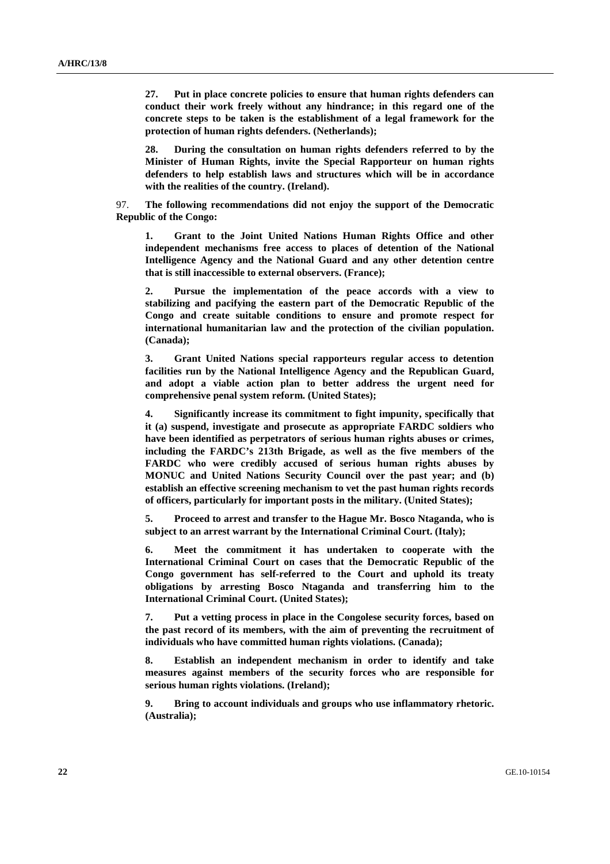**27. Put in place concrete policies to ensure that human rights defenders can conduct their work freely without any hindrance; in this regard one of the concrete steps to be taken is the establishment of a legal framework for the protection of human rights defenders. (Netherlands);** 

 **28. During the consultation on human rights defenders referred to by the Minister of Human Rights, invite the Special Rapporteur on human rights defenders to help establish laws and structures which will be in accordance with the realities of the country. (Ireland).** 

97. **The following recommendations did not enjoy the support of the Democratic Republic of the Congo:** 

 **1. Grant to the Joint United Nations Human Rights Office and other independent mechanisms free access to places of detention of the National Intelligence Agency and the National Guard and any other detention centre that is still inaccessible to external observers. (France);** 

 **2. Pursue the implementation of the peace accords with a view to stabilizing and pacifying the eastern part of the Democratic Republic of the Congo and create suitable conditions to ensure and promote respect for international humanitarian law and the protection of the civilian population. (Canada);** 

 **3. Grant United Nations special rapporteurs regular access to detention facilities run by the National Intelligence Agency and the Republican Guard, and adopt a viable action plan to better address the urgent need for comprehensive penal system reform. (United States);** 

 **4. Significantly increase its commitment to fight impunity, specifically that it (a) suspend, investigate and prosecute as appropriate FARDC soldiers who have been identified as perpetrators of serious human rights abuses or crimes, including the FARDC's 213th Brigade, as well as the five members of the FARDC who were credibly accused of serious human rights abuses by MONUC and United Nations Security Council over the past year; and (b) establish an effective screening mechanism to vet the past human rights records of officers, particularly for important posts in the military. (United States);** 

 **5. Proceed to arrest and transfer to the Hague Mr. Bosco Ntaganda, who is subject to an arrest warrant by the International Criminal Court. (Italy);** 

 **6. Meet the commitment it has undertaken to cooperate with the International Criminal Court on cases that the Democratic Republic of the Congo government has self-referred to the Court and uphold its treaty obligations by arresting Bosco Ntaganda and transferring him to the International Criminal Court. (United States);** 

 **7. Put a vetting process in place in the Congolese security forces, based on the past record of its members, with the aim of preventing the recruitment of individuals who have committed human rights violations. (Canada);** 

 **8. Establish an independent mechanism in order to identify and take measures against members of the security forces who are responsible for serious human rights violations. (Ireland);** 

 **9. Bring to account individuals and groups who use inflammatory rhetoric. (Australia);**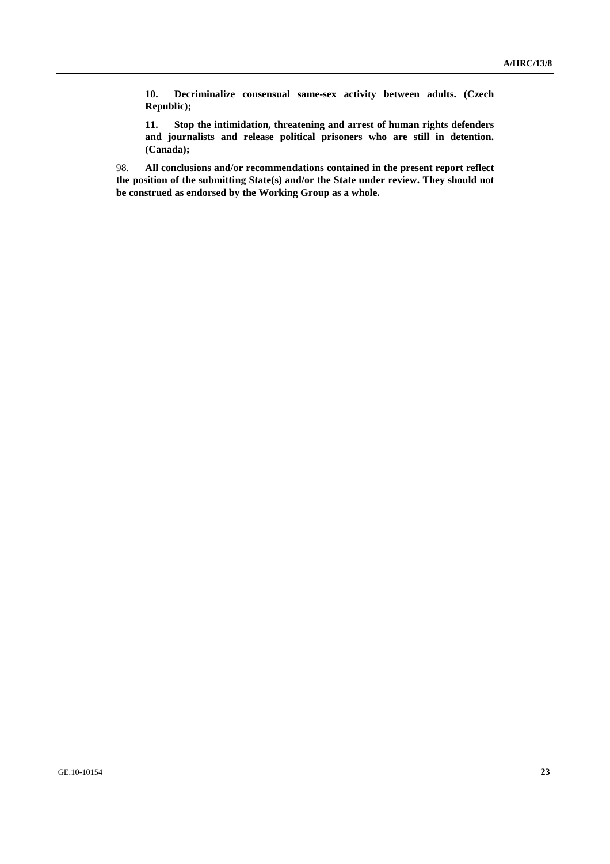**10. Decriminalize consensual same-sex activity between adults. (Czech Republic);** 

 **11. Stop the intimidation, threatening and arrest of human rights defenders and journalists and release political prisoners who are still in detention. (Canada);** 

98. **All conclusions and/or recommendations contained in the present report reflect the position of the submitting State(s) and/or the State under review. They should not be construed as endorsed by the Working Group as a whole.**